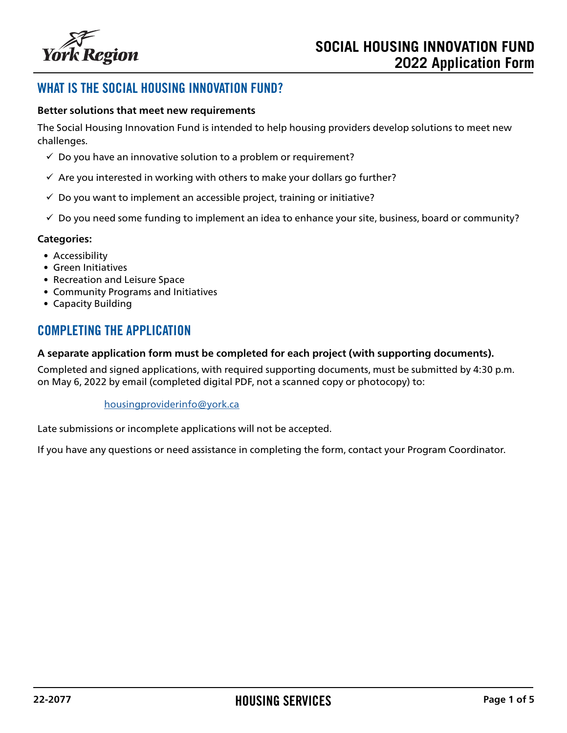

## WHAT IS THE SOCIAL HOUSING INNOVATION FUND?

#### **Better solutions that meet new requirements**

The Social Housing Innovation Fund is intended to help housing providers develop solutions to meet new challenges.

- $\checkmark$  Do you have an innovative solution to a problem or requirement?
- $\checkmark$  Are you interested in working with others to make your dollars go further?
- $\checkmark$  Do you want to implement an accessible project, training or initiative?
- $\checkmark$  Do you need some funding to implement an idea to enhance your site, business, board or community?

#### **Categories:**

- Accessibility
- Green Initiatives
- Recreation and Leisure Space
- Community Programs and Initiatives
- Capacity Building

## COMPLETING THE APPLICATION

#### **A separate application form must be completed for each project (with supporting documents).**

Completed and signed applications, with required supporting documents, must be submitted by 4:30 p.m. on May 6, 2022 by email (completed digital PDF, not a scanned copy or photocopy) to:

#### [housingproviderinfo@york.ca](mailto:housingproviderinfo%40york.ca%20?subject=)

Late submissions or incomplete applications will not be accepted.

If you have any questions or need assistance in completing the form, contact your Program Coordinator.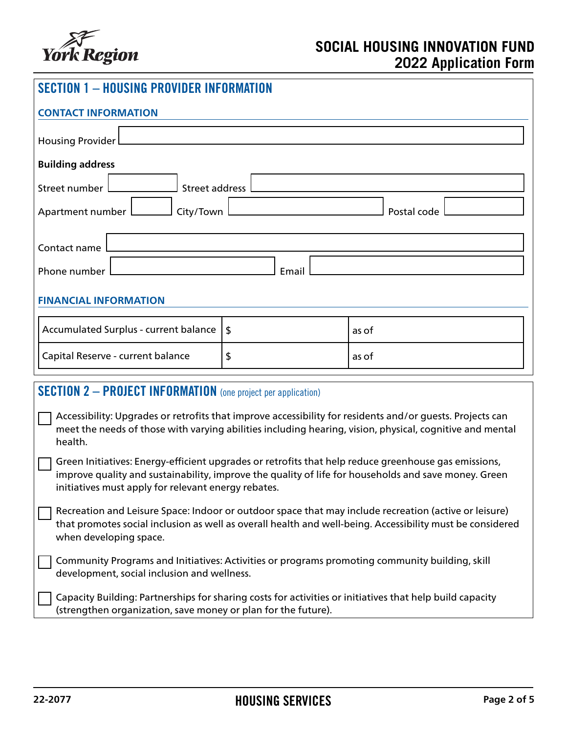

| <b>SECTION 1 - HOUSING PROVIDER INFORMATION</b>                                                                                                                                                                                                                     |  |       |  |  |  |
|---------------------------------------------------------------------------------------------------------------------------------------------------------------------------------------------------------------------------------------------------------------------|--|-------|--|--|--|
| <b>CONTACT INFORMATION</b>                                                                                                                                                                                                                                          |  |       |  |  |  |
| <b>Housing Provider</b>                                                                                                                                                                                                                                             |  |       |  |  |  |
| <b>Building address</b>                                                                                                                                                                                                                                             |  |       |  |  |  |
| <b>Street address</b><br>Street number                                                                                                                                                                                                                              |  |       |  |  |  |
| Apartment number<br>City/Town<br>Postal code                                                                                                                                                                                                                        |  |       |  |  |  |
| Contact name                                                                                                                                                                                                                                                        |  |       |  |  |  |
| Phone number<br>Email                                                                                                                                                                                                                                               |  |       |  |  |  |
| <b>FINANCIAL INFORMATION</b>                                                                                                                                                                                                                                        |  |       |  |  |  |
| Accumulated Surplus - current balance<br>$\boldsymbol{\mathsf{S}}$                                                                                                                                                                                                  |  | as of |  |  |  |
| Capital Reserve - current balance<br>\$                                                                                                                                                                                                                             |  | as of |  |  |  |
| <b>SECTION 2 - PROJECT INFORMATION</b> (one project per application)                                                                                                                                                                                                |  |       |  |  |  |
| Accessibility: Upgrades or retrofits that improve accessibility for residents and/or guests. Projects can<br>meet the needs of those with varying abilities including hearing, vision, physical, cognitive and mental<br>health.                                    |  |       |  |  |  |
| Green Initiatives: Energy-efficient upgrades or retrofits that help reduce greenhouse gas emissions,<br>improve quality and sustainability, improve the quality of life for households and save money. Green<br>initiatives must apply for relevant energy rebates. |  |       |  |  |  |
| Recreation and Leisure Space: Indoor or outdoor space that may include recreation (active or leisure)<br>that promotes social inclusion as well as overall health and well-being. Accessibility must be considered<br>when developing space.                        |  |       |  |  |  |
| Community Programs and Initiatives: Activities or programs promoting community building, skill<br>development, social inclusion and wellness.                                                                                                                       |  |       |  |  |  |
| Capacity Building: Partnerships for sharing costs for activities or initiatives that help build capacity<br>(strengthen organization, save money or plan for the future).                                                                                           |  |       |  |  |  |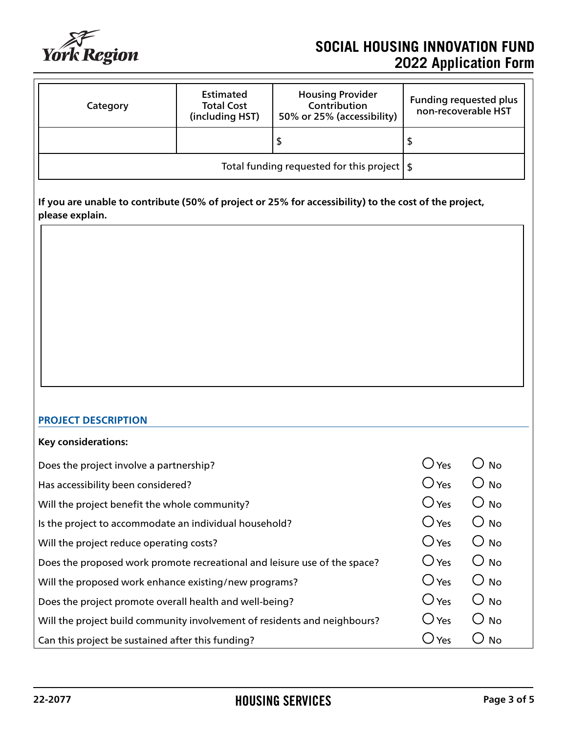

# **SOCIAL HOUSING INNOVATION FUND 2022 Application Form**

| Category                                               | <b>Estimated</b><br><b>Total Cost</b><br>(including HST) | <b>Housing Provider</b><br>Contribution<br>50% or 25% (accessibility) | <b>Funding requested plus</b><br>non-recoverable HST |
|--------------------------------------------------------|----------------------------------------------------------|-----------------------------------------------------------------------|------------------------------------------------------|
|                                                        |                                                          |                                                                       | D                                                    |
| Total funding requested for this project $\frac{1}{5}$ |                                                          |                                                                       |                                                      |

**If you are unable to contribute (50% of project or 25% for accessibility) to the cost of the project, please explain.**

#### **PROJECT DESCRIPTION**

| No        |
|-----------|
| No        |
| <b>No</b> |
| No        |
| <b>No</b> |
| <b>No</b> |
| <b>No</b> |
| <b>No</b> |
| <b>No</b> |
| <b>No</b> |
|           |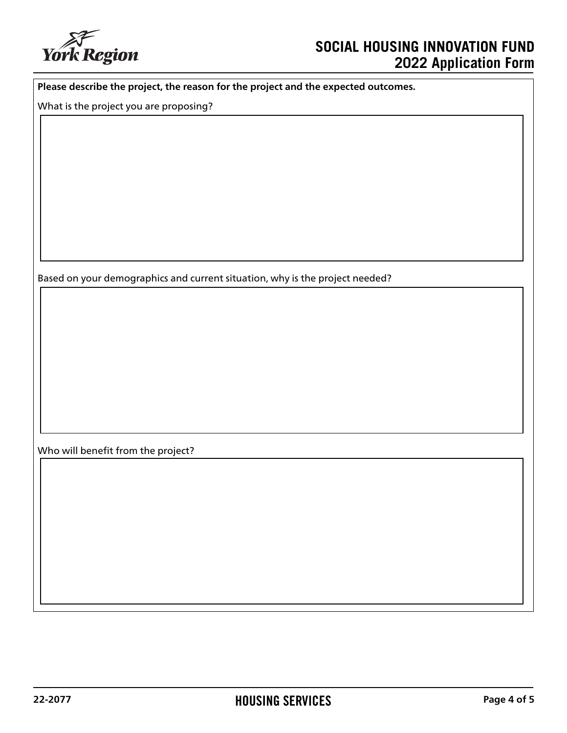

# **SOCIAL HOUSING INNOVATION FUND 2022 Application Form**

**Please describe the project, the reason for the project and the expected outcomes.**

What is the project you are proposing?

Based on your demographics and current situation, why is the project needed?

Who will benefit from the project?